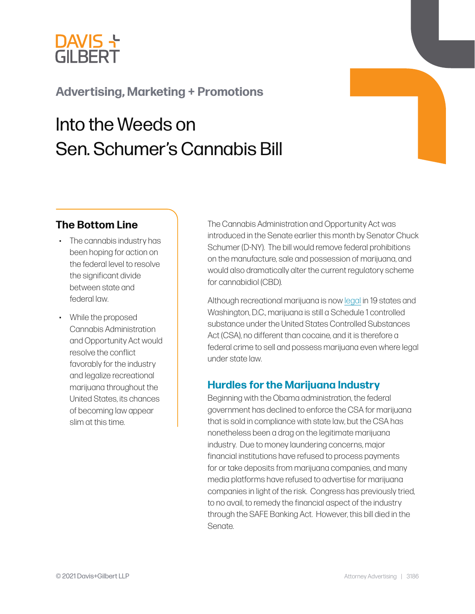

# **[Advertising, Marketing + Promotions](https://www.dglaw.com/practice-area-details.cfm?pgcat=Advertising%2C%20Marketing%20%26%20Promotions)**

# Into the Weeds on Sen. Schumer's Cannabis Bill

### **The Bottom Line**

- The cannabis industry has been hoping for action on the federal level to resolve the significant divide between state and federal law.
- While the proposed Cannabis Administration and Opportunity Act would resolve the conflict favorably for the industry and legalize recreational marijuana throughout the United States, its chances of becoming law appear slim at this time.

The Cannabis Administration and Opportunity Act was introduced in the Senate earlier this month by Senator Chuck Schumer (D-NY). The bill would remove federal prohibitions on the manufacture, sale and possession of marijuana, and would also dramatically alter the current regulatory scheme for cannabidiol (CBD).

Although recreational marijuana is now [legal](https://www.dglaw.com/press-alert-details.cfm?id=1202) in 19 states and Washington, D.C., marijuana is still a Schedule 1 controlled substance under the United States Controlled Substances Act (CSA), no different than cocaine, and it is therefore a federal crime to sell and possess marijuana even where legal under state law.

### **Hurdles for the Marijuana Industry**

Beginning with the Obama administration, the federal government has declined to enforce the CSA for marijuana that is sold in compliance with state law, but the CSA has nonetheless been a drag on the legitimate marijuana industry. Due to money laundering concerns, major financial institutions have refused to process payments for or take deposits from marijuana companies, and many media platforms have refused to advertise for marijuana companies in light of the risk. Congress has previously tried, to no avail, to remedy the financial aspect of the industry through the SAFE Banking Act. However, this bill died in the Senate.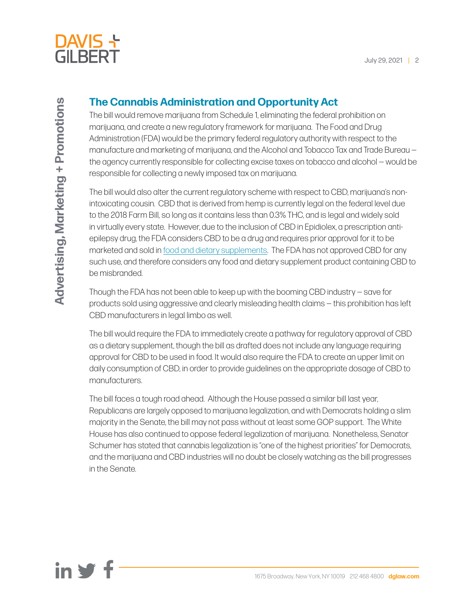

## **The Cannabis Administration and Opportunity Act**

The bill would remove marijuana from Schedule 1, eliminating the federal prohibition on marijuana, and create a new regulatory framework for marijuana. The Food and Drug Administration (FDA) would be the primary federal regulatory authority with respect to the manufacture and marketing of marijuana, and the Alcohol and Tobacco Tax and Trade Bureau the agency currently responsible for collecting excise taxes on tobacco and alcohol — would be responsible for collecting a newly imposed tax on marijuana.

The bill would also alter the current regulatory scheme with respect to CBD, marijuana's nonintoxicating cousin. CBD that is derived from hemp is currently legal on the federal level due to the 2018 Farm Bill, so long as it contains less than 0.3% THC, and is legal and widely sold in virtually every state. However, due to the inclusion of CBD in Epidiolex, a prescription antiepilepsy drug, the FDA considers CBD to be a drug and requires prior approval for it to be marketed and sold in [food and dietary supplements.](https://www.dglaw.com/press-alert-details.cfm?id=942) The FDA has not approved CBD for any such use, and therefore considers any food and dietary supplement product containing CBD to be misbranded.

Though the FDA has not been able to keep up with the booming CBD industry — save for products sold using aggressive and clearly misleading health claims — this prohibition has left CBD manufacturers in legal limbo as well.

The bill would require the FDA to immediately create a pathway for regulatory approval of CBD as a dietary supplement, though the bill as drafted does not include any language requiring approval for CBD to be used in food. It would also require the FDA to create an upper limit on daily consumption of CBD, in order to provide guidelines on the appropriate dosage of CBD to manufacturers.

The bill faces a tough road ahead. Although the House passed a similar bill last year, Republicans are largely opposed to marijuana legalization, and with Democrats holding a slim majority in the Senate, the bill may not pass without at least some GOP support. The White House has also continued to oppose federal legalization of marijuana. Nonetheless, Senator Schumer has stated that cannabis legalization is "one of the highest priorities" for Democrats, and the marijuana and CBD industries will no doubt be closely watching as the bill progresses in the Senate.